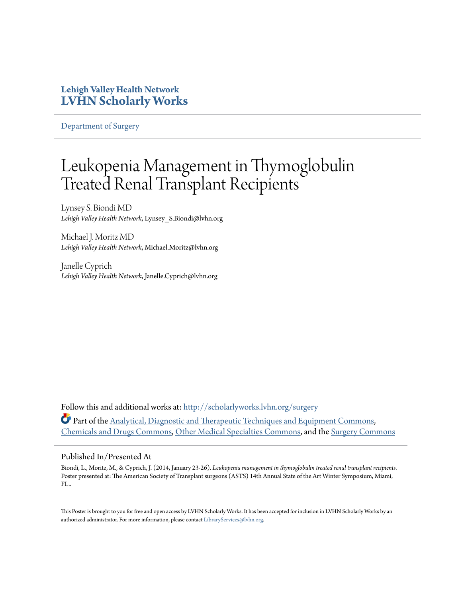### **Lehigh Valley Health Network [LVHN Scholarly Works](http://scholarlyworks.lvhn.org?utm_source=scholarlyworks.lvhn.org%2Fsurgery%2F281&utm_medium=PDF&utm_campaign=PDFCoverPages)**

[Department of Surgery](http://scholarlyworks.lvhn.org/surgery?utm_source=scholarlyworks.lvhn.org%2Fsurgery%2F281&utm_medium=PDF&utm_campaign=PDFCoverPages)

### Leukopenia Management in Thymoglobulin Treated Renal Transplant Recipients

Lynsey S. Biondi MD *Lehigh Valley Health Network*, Lynsey\_S.Biondi@lvhn.org

Michael J. Moritz MD *Lehigh Valley Health Network*, Michael.Moritz@lvhn.org

Janelle Cyprich *Lehigh Valley Health Network*, Janelle.Cyprich@lvhn.org

Follow this and additional works at: [http://scholarlyworks.lvhn.org/surgery](http://scholarlyworks.lvhn.org/surgery?utm_source=scholarlyworks.lvhn.org%2Fsurgery%2F281&utm_medium=PDF&utm_campaign=PDFCoverPages) Part of the [Analytical, Diagnostic and Therapeutic Techniques and Equipment Commons,](http://network.bepress.com/hgg/discipline/899?utm_source=scholarlyworks.lvhn.org%2Fsurgery%2F281&utm_medium=PDF&utm_campaign=PDFCoverPages) [Chemicals and Drugs Commons,](http://network.bepress.com/hgg/discipline/902?utm_source=scholarlyworks.lvhn.org%2Fsurgery%2F281&utm_medium=PDF&utm_campaign=PDFCoverPages) [Other Medical Specialties Commons](http://network.bepress.com/hgg/discipline/708?utm_source=scholarlyworks.lvhn.org%2Fsurgery%2F281&utm_medium=PDF&utm_campaign=PDFCoverPages), and the [Surgery Commons](http://network.bepress.com/hgg/discipline/706?utm_source=scholarlyworks.lvhn.org%2Fsurgery%2F281&utm_medium=PDF&utm_campaign=PDFCoverPages)

### Published In/Presented At

Biondi, L., Moritz, M., & Cyprich, J. (2014, January 23-26). *Leukopenia management in thymoglobulin treated renal transplant recipients.* Poster presented at: The American Society of Transplant surgeons (ASTS) 14th Annual State of the Art Winter Symposium, Miami, FL..

This Poster is brought to you for free and open access by LVHN Scholarly Works. It has been accepted for inclusion in LVHN Scholarly Works by an authorized administrator. For more information, please contact [LibraryServices@lvhn.org.](mailto:LibraryServices@lvhn.org)